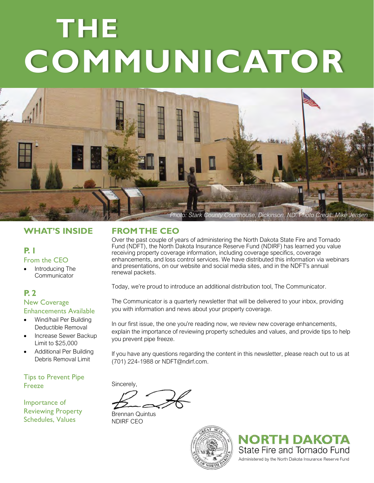# **THE COMMUNICATOR**



# **WHAT'S INSIDE**

## **P. 1** From the CEO

Introducing The **Communicator** 

## **P. 2**

# New Coverage

Enhancements Available

- Wind/hail Per Building Deductible Removal
- Increase Sewer Backup Limit to \$25,000
- Additional Per Building Debris Removal Limit

Tips to Prevent Pipe Freeze

Importance of Reviewing Property Schedules, Values

# **FROM THE CEO**

Over the past couple of years of administering the North Dakota State Fire and Tornado Fund (NDFT), the North Dakota Insurance Reserve Fund (NDIRF) has learned you value receiving property coverage information, including coverage specifics, coverage enhancements, and loss control services. We have distributed this information via webinars and presentations, on our website and social media sites, and in the NDFT's annual renewal packets.

Today, we're proud to introduce an additional distribution tool, The Communicator.

The Communicator is a quarterly newsletter that will be delivered to your inbox, providing you with information and news about your property coverage.

In our first issue, the one you're reading now, we review new coverage enhancements, explain the importance of reviewing property schedules and values, and provide tips to help you prevent pipe freeze.

If you have any questions regarding the content in this newsletter, please reach out to us at (701) 224-1988 or NDFT@ndirf.com.

Sincerely,

Brennan Quintus NDIRF CEO